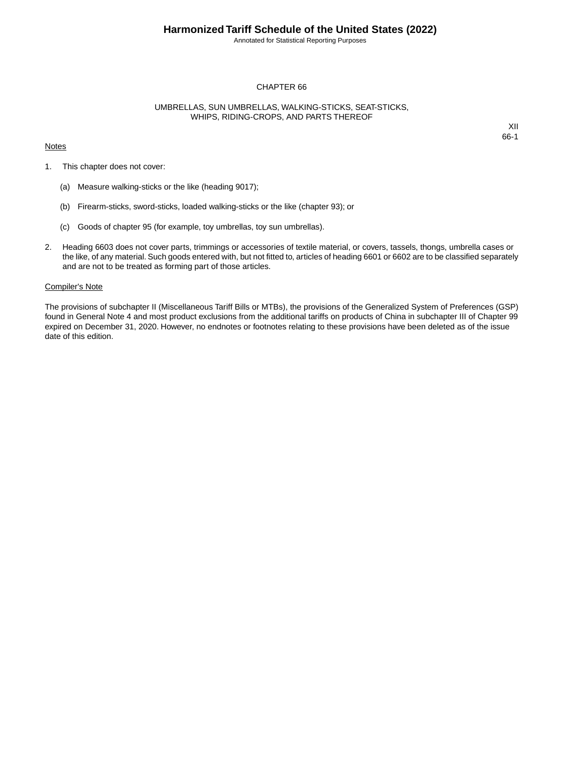# **Harmonized Tariff Schedule of the United States (2022)**

Annotated for Statistical Reporting Purposes

# CHAPTER 66

# UMBRELLAS, SUN UMBRELLAS, WALKING-STICKS, SEAT-STICKS, WHIPS, RIDING-CROPS, AND PARTS THEREOF

#### **Notes**

XII 66-1

- 1. This chapter does not cover:
	- (a) Measure walking-sticks or the like (heading 9017);
	- (b) Firearm-sticks, sword-sticks, loaded walking-sticks or the like (chapter 93); or
	- (c) Goods of chapter 95 (for example, toy umbrellas, toy sun umbrellas).
- 2. Heading 6603 does not cover parts, trimmings or accessories of textile material, or covers, tassels, thongs, umbrella cases or the like, of any material. Such goods entered with, but not fitted to, articles of heading 6601 or 6602 are to be classified separately and are not to be treated as forming part of those articles.

# Compiler's Note

The provisions of subchapter II (Miscellaneous Tariff Bills or MTBs), the provisions of the Generalized System of Preferences (GSP) found in General Note 4 and most product exclusions from the additional tariffs on products of China in subchapter III of Chapter 99 expired on December 31, 2020. However, no endnotes or footnotes relating to these provisions have been deleted as of the issue date of this edition.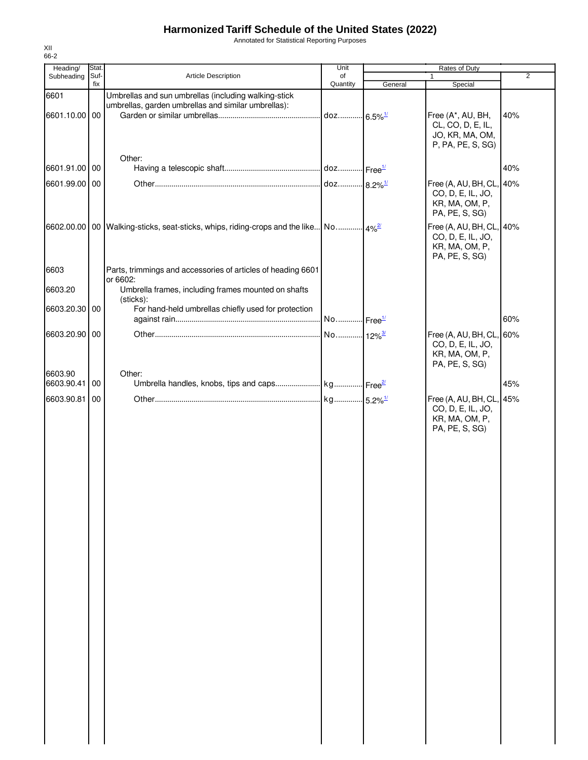# **Harmonized Tariff Schedule of the United States (2022)**

Annotated for Statistical Reporting Purposes

| Heading/              | Stat. |                                                                                                             | Unit                  |                        | Rates of Duty                                                                     |                |  |
|-----------------------|-------|-------------------------------------------------------------------------------------------------------------|-----------------------|------------------------|-----------------------------------------------------------------------------------|----------------|--|
| Subheading            | Suf-  | Article Description                                                                                         | of                    |                        | 1                                                                                 | $\overline{2}$ |  |
|                       | fix   |                                                                                                             | Quantity              | General                | Special                                                                           |                |  |
| 6601                  |       | Umbrellas and sun umbrellas (including walking-stick<br>umbrellas, garden umbrellas and similar umbrellas): |                       |                        |                                                                                   |                |  |
| 6601.10.00 00         |       |                                                                                                             | doz                   | $.6.5\%$ <sup>1/</sup> | Free (A*, AU, BH,<br>CL, CO, D, E, IL,                                            | 40%            |  |
|                       |       |                                                                                                             |                       |                        | JO, KR, MA, OM,<br>P, PA, PE, S, SG)                                              |                |  |
|                       |       | Other:                                                                                                      |                       |                        |                                                                                   |                |  |
| 6601.91.00            | 00    |                                                                                                             |                       |                        |                                                                                   | 40%            |  |
| 6601.99.00 00         |       |                                                                                                             |                       |                        | Free (A, AU, BH, CL, 40%                                                          |                |  |
|                       |       |                                                                                                             |                       |                        | CO, D, E, IL, JO,<br>KR, MA, OM, P,<br>PA, PE, S, SG)                             |                |  |
|                       |       | 6602.00.00 00 Walking-sticks, seat-sticks, whips, riding-crops and the like No                              |                       | $4\%$ <sup>2/</sup>    | Free (A, AU, BH, CL, 40%<br>CO, D, E, IL, JO,<br>KR, MA, OM, P,<br>PA, PE, S, SG) |                |  |
| 6603                  |       | Parts, trimmings and accessories of articles of heading 6601<br>or 6602:                                    |                       |                        |                                                                                   |                |  |
| 6603.20               |       | Umbrella frames, including frames mounted on shafts<br>(sticks):                                            |                       |                        |                                                                                   |                |  |
| 6603.20.30            | 00    | For hand-held umbrellas chiefly used for protection                                                         | No Free <sup>1/</sup> |                        |                                                                                   | 60%            |  |
| 6603.20.90 00         |       |                                                                                                             |                       |                        | Free (A, AU, BH, CL, 60%                                                          |                |  |
|                       |       |                                                                                                             |                       |                        | CO, D, E, IL, JO,<br>KR, MA, OM, P,<br>PA, PE, S, SG)                             |                |  |
| 6603.90<br>6603.90.41 | 00    | Other:                                                                                                      |                       |                        |                                                                                   | 45%            |  |
|                       |       |                                                                                                             |                       |                        |                                                                                   |                |  |
| 6603.90.81            | 00    |                                                                                                             |                       |                        | Free (A, AU, BH, CL, 45%<br>CO, D, E, IL, JO,<br>KR, MA, OM, P,<br>PA, PE, S, SG) |                |  |
|                       |       |                                                                                                             |                       |                        |                                                                                   |                |  |
|                       |       |                                                                                                             |                       |                        |                                                                                   |                |  |
|                       |       |                                                                                                             |                       |                        |                                                                                   |                |  |
|                       |       |                                                                                                             |                       |                        |                                                                                   |                |  |
|                       |       |                                                                                                             |                       |                        |                                                                                   |                |  |
|                       |       |                                                                                                             |                       |                        |                                                                                   |                |  |
|                       |       |                                                                                                             |                       |                        |                                                                                   |                |  |
|                       |       |                                                                                                             |                       |                        |                                                                                   |                |  |
|                       |       |                                                                                                             |                       |                        |                                                                                   |                |  |
|                       |       |                                                                                                             |                       |                        |                                                                                   |                |  |
|                       |       |                                                                                                             |                       |                        |                                                                                   |                |  |
|                       |       |                                                                                                             |                       |                        |                                                                                   |                |  |

XII 66-2